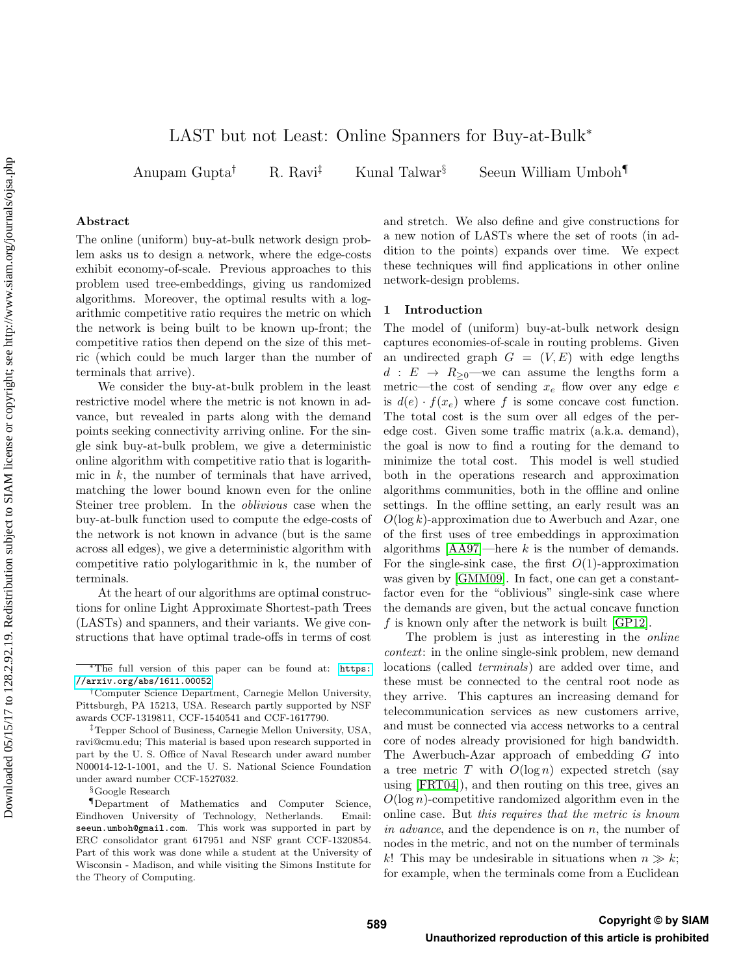# <span id="page-0-0"></span>LAST but not Least: Online Spanners for Buy-at-Bulk<sup>∗</sup>

Anupam Gupta<sup>†</sup> R. Ravi<sup>‡</sup> Kunal Talwar<sup>§</sup> Seeun William Umboh

## Abstract

The online (uniform) buy-at-bulk network design problem asks us to design a network, where the edge-costs exhibit economy-of-scale. Previous approaches to this problem used tree-embeddings, giving us randomized algorithms. Moreover, the optimal results with a logarithmic competitive ratio requires the metric on which the network is being built to be known up-front; the competitive ratios then depend on the size of this metric (which could be much larger than the number of terminals that arrive).

We consider the buy-at-bulk problem in the least restrictive model where the metric is not known in advance, but revealed in parts along with the demand points seeking connectivity arriving online. For the single sink buy-at-bulk problem, we give a deterministic online algorithm with competitive ratio that is logarithmic in  $k$ , the number of terminals that have arrived, matching the lower bound known even for the online Steiner tree problem. In the oblivious case when the buy-at-bulk function used to compute the edge-costs of the network is not known in advance (but is the same across all edges), we give a deterministic algorithm with competitive ratio polylogarithmic in k, the number of terminals.

At the heart of our algorithms are optimal constructions for online Light Approximate Shortest-path Trees (LASTs) and spanners, and their variants. We give constructions that have optimal trade-offs in terms of cost

§Google Research

and stretch. We also define and give constructions for a new notion of LASTs where the set of roots (in addition to the points) expands over time. We expect these techniques will find applications in other online network-design problems.

# 1 Introduction

The model of (uniform) buy-at-bulk network design captures economies-of-scale in routing problems. Given an undirected graph  $G = (V, E)$  with edge lengths  $d : E \rightarrow R_{\geq 0}$ —we can assume the lengths form a metric—the cost of sending  $x_e$  flow over any edge  $e$ is  $d(e) \cdot f(x_e)$  where f is some concave cost function. The total cost is the sum over all edges of the peredge cost. Given some traffic matrix (a.k.a. demand), the goal is now to find a routing for the demand to minimize the total cost. This model is well studied both in the operations research and approximation algorithms communities, both in the offline and online settings. In the offline setting, an early result was an  $O(\log k)$ -approximation due to Awerbuch and Azar, one of the first uses of tree embeddings in approximation algorithms  $[AA97]$ —here k is the number of demands. For the single-sink case, the first  $O(1)$ -approximation was given by [\[GMM09\]](#page-9-1). In fact, one can get a constantfactor even for the "oblivious" single-sink case where the demands are given, but the actual concave function f is known only after the network is built  $[GP12]$ .

The problem is just as interesting in the online context: in the online single-sink problem, new demand locations (called terminals) are added over time, and these must be connected to the central root node as they arrive. This captures an increasing demand for telecommunication services as new customers arrive, and must be connected via access networks to a central core of nodes already provisioned for high bandwidth. The Awerbuch-Azar approach of embedding G into a tree metric T with  $O(\log n)$  expected stretch (say using [\[FRT04\]](#page-9-3)), and then routing on this tree, gives an  $O(\log n)$ -competitive randomized algorithm even in the online case. But this requires that the metric is known in advance, and the dependence is on n, the number of nodes in the metric, and not on the number of terminals k! This may be undesirable in situations when  $n \gg k$ ; for example, when the terminals come from a Euclidean

<sup>∗</sup>The full version of this paper can be found at: [https:](https://arxiv.org/abs/1611.00052) [//arxiv.org/abs/1611.00052](https://arxiv.org/abs/1611.00052)

<sup>†</sup>Computer Science Department, Carnegie Mellon University, Pittsburgh, PA 15213, USA. Research partly supported by NSF awards CCF-1319811, CCF-1540541 and CCF-1617790.

<sup>‡</sup>Tepper School of Business, Carnegie Mellon University, USA, ravi@cmu.edu; This material is based upon research supported in part by the U. S. Office of Naval Research under award number N00014-12-1-1001, and the U. S. National Science Foundation under award number CCF-1527032.

<sup>¶</sup>Department of Mathematics and Computer Science, Eindhoven University of Technology, Netherlands. Email: seeun.umboh@gmail.com. This work was supported in part by ERC consolidator grant 617951 and NSF grant CCF-1320854. Part of this work was done while a student at the University of Wisconsin - Madison, and while visiting the Simons Institute for the Theory of Computing.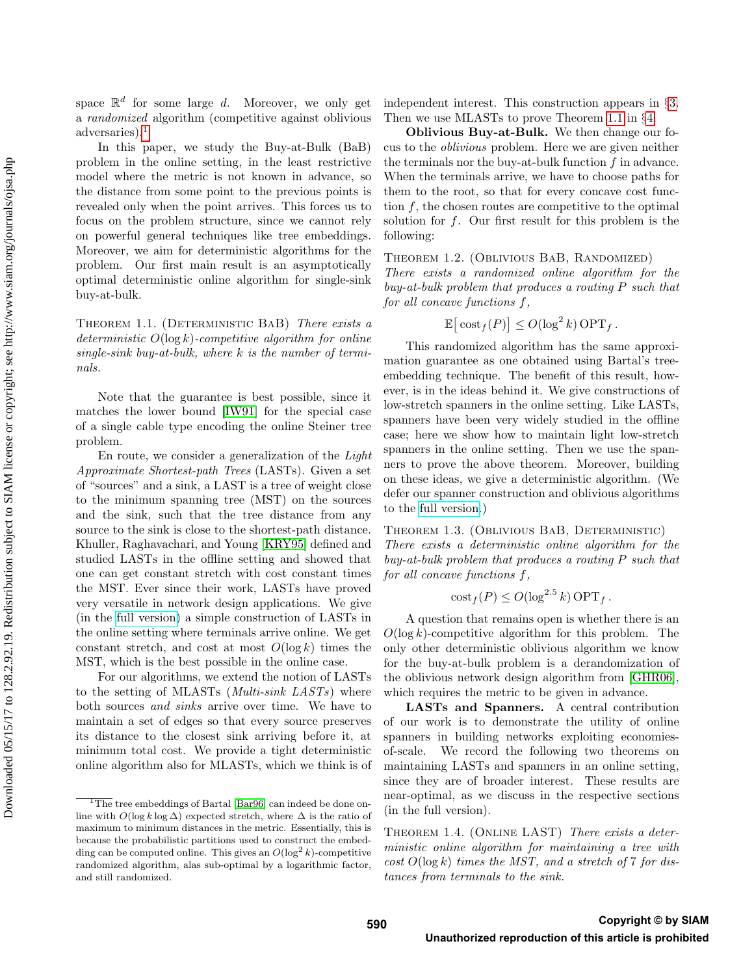space  $\mathbb{R}^d$  for some large d. Moreover, we only get a randomized algorithm (competitive against oblivious adversaries).[1](#page-0-0)

In this paper, we study the Buy-at-Bulk (BaB) problem in the online setting, in the least restrictive model where the metric is not known in advance, so the distance from some point to the previous points is revealed only when the point arrives. This forces us to focus on the problem structure, since we cannot rely on powerful general techniques like tree embeddings. Moreover, we aim for deterministic algorithms for the problem. Our first main result is an asymptotically optimal deterministic online algorithm for single-sink buy-at-bulk.

<span id="page-1-0"></span>THEOREM 1.1. (DETERMINISTIC BAB) There exists a deterministic  $O(\log k)$ -competitive algorithm for online single-sink buy-at-bulk, where  $k$  is the number of terminals.

Note that the guarantee is best possible, since it matches the lower bound [\[IW91\]](#page-9-4) for the special case of a single cable type encoding the online Steiner tree problem.

En route, we consider a generalization of the Light Approximate Shortest-path Trees (LASTs). Given a set of "sources" and a sink, a LAST is a tree of weight close to the minimum spanning tree (MST) on the sources and the sink, such that the tree distance from any source to the sink is close to the shortest-path distance. Khuller, Raghavachari, and Young [\[KRY95\]](#page-9-5) defined and studied LASTs in the offline setting and showed that one can get constant stretch with cost constant times the MST. Ever since their work, LASTs have proved very versatile in network design applications. We give (in the [full version\)](https://arxiv.org/abs/1611.00052) a simple construction of LASTs in the online setting where terminals arrive online. We get constant stretch, and cost at most  $O(\log k)$  times the MST, which is the best possible in the online case.

For our algorithms, we extend the notion of LASTs to the setting of MLASTs (*Multi-sink LASTs*) where both sources and sinks arrive over time. We have to maintain a set of edges so that every source preserves its distance to the closest sink arriving before it, at minimum total cost. We provide a tight deterministic online algorithm also for MLASTs, which we think is of independent interest. This construction appears in §[3.](#page-4-0) Then we use MLASTs to prove Theorem [1.1](#page-1-0) in §[4.](#page-5-0)

Oblivious Buy-at-Bulk. We then change our focus to the oblivious problem. Here we are given neither the terminals nor the buy-at-bulk function  $f$  in advance. When the terminals arrive, we have to choose paths for them to the root, so that for every concave cost function  $f$ , the chosen routes are competitive to the optimal solution for  $f$ . Our first result for this problem is the following:

# Theorem 1.2. (Oblivious BaB, Randomized)

There exists a randomized online algorithm for the buy-at-bulk problem that produces a routing P such that for all concave functions f,

$$
\mathbb{E}[\cosh_f(P)] \le O(\log^2 k) \, \text{OPT}_f \, .
$$

This randomized algorithm has the same approximation guarantee as one obtained using Bartal's treeembedding technique. The benefit of this result, however, is in the ideas behind it. We give constructions of low-stretch spanners in the online setting. Like LASTs, spanners have been very widely studied in the offline case; here we show how to maintain light low-stretch spanners in the online setting. Then we use the spanners to prove the above theorem. Moreover, building on these ideas, we give a deterministic algorithm. (We defer our spanner construction and oblivious algorithms to the [full version.](https://arxiv.org/abs/1611.00052))

Theorem 1.3. (Oblivious BaB, Deterministic) There exists a deterministic online algorithm for the buy-at-bulk problem that produces a routing P such that for all concave functions f,

$$
cost_f(P) \le O(log^{2.5} k) OPT_f.
$$

A question that remains open is whether there is an  $O(\log k)$ -competitive algorithm for this problem. The only other deterministic oblivious algorithm we know for the buy-at-bulk problem is a derandomization of the oblivious network design algorithm from [\[GHR06\]](#page-9-7), which requires the metric to be given in advance.

LASTs and Spanners. A central contribution of our work is to demonstrate the utility of online spanners in building networks exploiting economiesof-scale. We record the following two theorems on maintaining LASTs and spanners in an online setting, since they are of broader interest. These results are near-optimal, as we discuss in the respective sections (in the full version).

THEOREM 1.4. (ONLINE LAST) There exists a deterministic online algorithm for maintaining a tree with  $cost\ O(\log k)$  times the MST, and a stretch of 7 for distances from terminals to the sink.

<sup>&</sup>lt;sup>1</sup>The tree embeddings of Bartal [\[Bar96\]](#page-9-6) can indeed be done online with  $O(\log k \log \Delta)$  expected stretch, where  $\Delta$  is the ratio of maximum to minimum distances in the metric. Essentially, this is because the probabilistic partitions used to construct the embedding can be computed online. This gives an  $O(\log^2 k)$ -competitive randomized algorithm, alas sub-optimal by a logarithmic factor, and still randomized.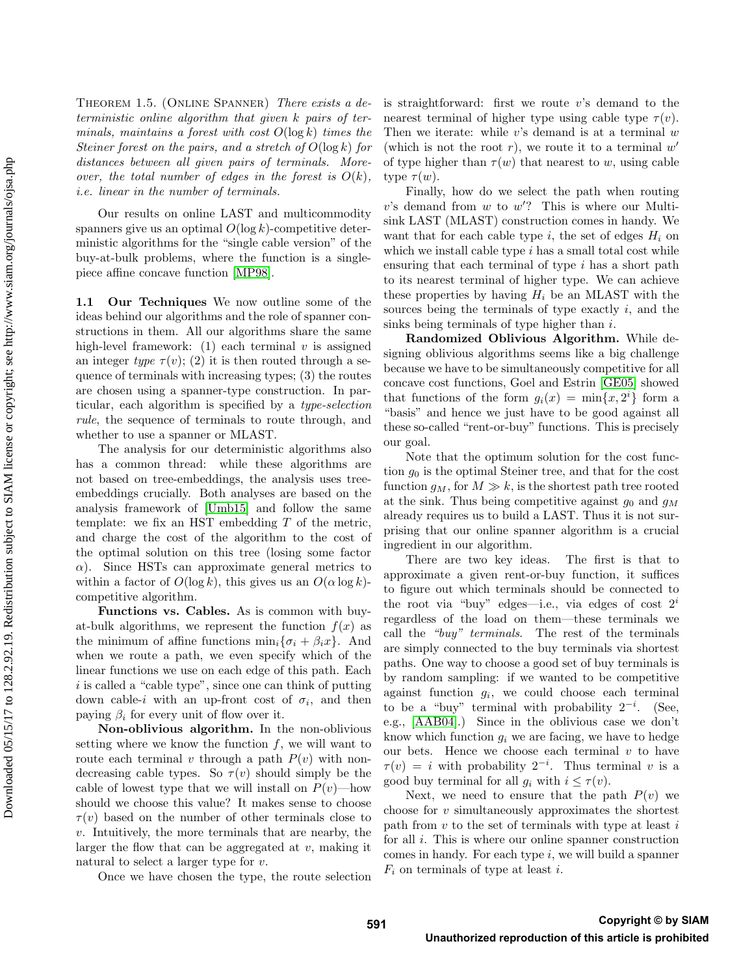THEOREM 1.5. (ONLINE SPANNER) There exists a deterministic online algorithm that given k pairs of terminals, maintains a forest with cost  $O(\log k)$  times the Steiner forest on the pairs, and a stretch of  $O(\log k)$  for distances between all given pairs of terminals. Moreover, the total number of edges in the forest is  $O(k)$ , i.e. linear in the number of terminals.

Our results on online LAST and multicommodity spanners give us an optimal  $O(\log k)$ -competitive deterministic algorithms for the "single cable version" of the buy-at-bulk problems, where the function is a singlepiece affine concave function [\[MP98\]](#page-10-0).

<span id="page-2-0"></span>1.1 Our Techniques We now outline some of the ideas behind our algorithms and the role of spanner constructions in them. All our algorithms share the same high-level framework: (1) each terminal  $v$  is assigned an integer type  $\tau(v)$ ; (2) it is then routed through a sequence of terminals with increasing types; (3) the routes are chosen using a spanner-type construction. In particular, each algorithm is specified by a type-selection rule, the sequence of terminals to route through, and whether to use a spanner or MLAST.

The analysis for our deterministic algorithms also has a common thread: while these algorithms are not based on tree-embeddings, the analysis uses treeembeddings crucially. Both analyses are based on the analysis framework of [\[Umb15\]](#page-10-1) and follow the same template: we fix an HST embedding T of the metric, and charge the cost of the algorithm to the cost of the optimal solution on this tree (losing some factor  $\alpha$ ). Since HSTs can approximate general metrics to within a factor of  $O(\log k)$ , this gives us an  $O(\alpha \log k)$ competitive algorithm.

Functions vs. Cables. As is common with buyat-bulk algorithms, we represent the function  $f(x)$  as the minimum of affine functions  $\min_i {\{\sigma_i + \beta_i x\}}$ . And when we route a path, we even specify which of the linear functions we use on each edge of this path. Each i is called a "cable type", since one can think of putting down cable-i with an up-front cost of  $\sigma_i$ , and then paying  $\beta_i$  for every unit of flow over it.

Non-oblivious algorithm. In the non-oblivious setting where we know the function  $f$ , we will want to route each terminal v through a path  $P(v)$  with nondecreasing cable types. So  $\tau(v)$  should simply be the cable of lowest type that we will install on  $P(v)$ —how should we choose this value? It makes sense to choose  $\tau(v)$  based on the number of other terminals close to v. Intuitively, the more terminals that are nearby, the larger the flow that can be aggregated at  $v$ , making it natural to select a larger type for  $v$ .

Once we have chosen the type, the route selection

is straightforward: first we route v's demand to the nearest terminal of higher type using cable type  $\tau(v)$ . Then we iterate: while  $v$ 's demand is at a terminal  $w$ (which is not the root  $r$ ), we route it to a terminal  $w'$ of type higher than  $\tau(w)$  that nearest to w, using cable type  $\tau(w)$ .

Finally, how do we select the path when routing  $v$ 's demand from  $w$  to  $w$ '? This is where our Multisink LAST (MLAST) construction comes in handy. We want that for each cable type i, the set of edges  $H_i$  on which we install cable type  $i$  has a small total cost while ensuring that each terminal of type  $i$  has a short path to its nearest terminal of higher type. We can achieve these properties by having  $H_i$  be an MLAST with the sources being the terminals of type exactly  $i$ , and the sinks being terminals of type higher than  $i$ .

Randomized Oblivious Algorithm. While designing oblivious algorithms seems like a big challenge because we have to be simultaneously competitive for all concave cost functions, Goel and Estrin [\[GE05\]](#page-9-8) showed that functions of the form  $g_i(x) = \min\{x, 2^i\}$  form a "basis" and hence we just have to be good against all these so-called "rent-or-buy" functions. This is precisely our goal.

Note that the optimum solution for the cost function  $g_0$  is the optimal Steiner tree, and that for the cost function  $g_M$ , for  $M \gg k$ , is the shortest path tree rooted at the sink. Thus being competitive against  $g_0$  and  $g_M$ already requires us to build a LAST. Thus it is not surprising that our online spanner algorithm is a crucial ingredient in our algorithm.

There are two key ideas. The first is that to approximate a given rent-or-buy function, it suffices to figure out which terminals should be connected to the root via "buy" edges—i.e., via edges of cost  $2^i$ regardless of the load on them—these terminals we call the "buy" terminals. The rest of the terminals are simply connected to the buy terminals via shortest paths. One way to choose a good set of buy terminals is by random sampling: if we wanted to be competitive against function  $g_i$ , we could choose each terminal to be a "buy" terminal with probability  $2^{-i}$ . (See, e.g., [\[AAB04\]](#page-9-9).) Since in the oblivious case we don't know which function  $q_i$  we are facing, we have to hedge our bets. Hence we choose each terminal  $v$  to have  $\tau(v) = i$  with probability  $2^{-i}$ . Thus terminal v is a good buy terminal for all  $g_i$  with  $i \leq \tau(v)$ .

Next, we need to ensure that the path  $P(v)$  we choose for v simultaneously approximates the shortest path from  $v$  to the set of terminals with type at least  $i$ for all  $i$ . This is where our online spanner construction comes in handy. For each type  $i$ , we will build a spanner  $F_i$  on terminals of type at least i.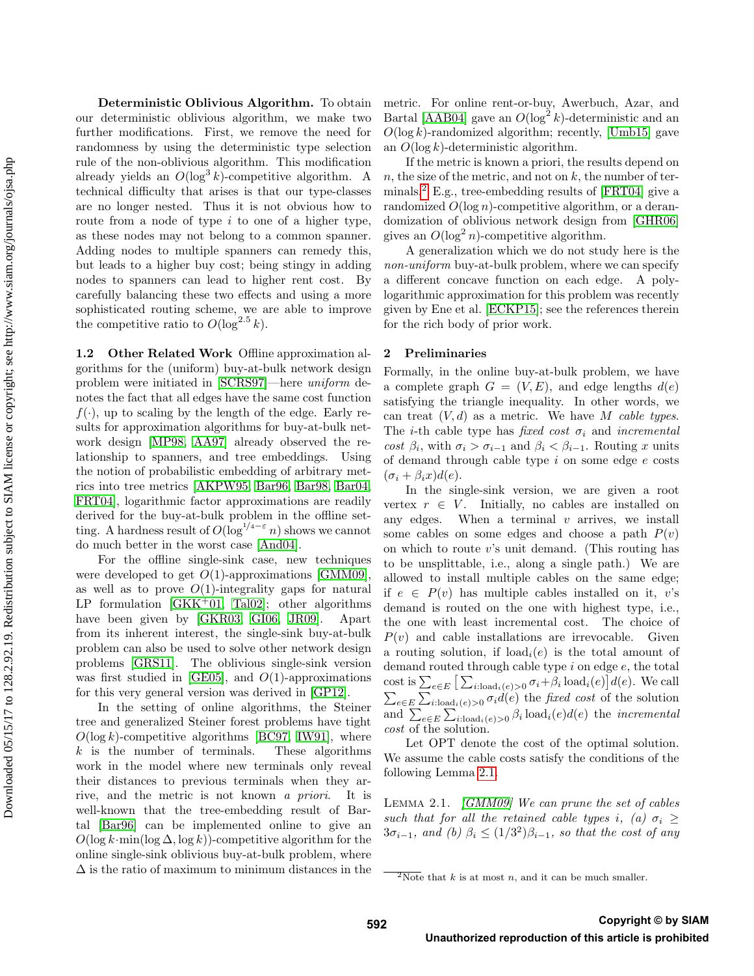Deterministic Oblivious Algorithm. To obtain our deterministic oblivious algorithm, we make two further modifications. First, we remove the need for randomness by using the deterministic type selection rule of the non-oblivious algorithm. This modification already yields an  $O(\log^3 k)$ -competitive algorithm. A technical difficulty that arises is that our type-classes are no longer nested. Thus it is not obvious how to route from a node of type  $i$  to one of a higher type, as these nodes may not belong to a common spanner. Adding nodes to multiple spanners can remedy this, but leads to a higher buy cost; being stingy in adding nodes to spanners can lead to higher rent cost. By carefully balancing these two effects and using a more sophisticated routing scheme, we are able to improve the competitive ratio to  $O(\log^{2.5} k)$ .

1.2 Other Related Work Offline approximation algorithms for the (uniform) buy-at-bulk network design problem were initiated in [\[SCRS97\]](#page-10-2)—here uniform denotes the fact that all edges have the same cost function  $f(\cdot)$ , up to scaling by the length of the edge. Early results for approximation algorithms for buy-at-bulk network design [\[MP98,](#page-10-0) [AA97\]](#page-9-0) already observed the relationship to spanners, and tree embeddings. Using the notion of probabilistic embedding of arbitrary metrics into tree metrics [\[AKPW95,](#page-9-10) [Bar96,](#page-9-6) [Bar98,](#page-9-11) [Bar04,](#page-9-12) [FRT04\]](#page-9-3), logarithmic factor approximations are readily derived for the buy-at-bulk problem in the offline setting. A hardness result of  $O(\log^{1/4-\epsilon} n)$  shows we cannot do much better in the worst case [\[And04\]](#page-9-13).

For the offline single-sink case, new techniques were developed to get  $O(1)$ -approximations [\[GMM09\]](#page-9-1), as well as to prove  $O(1)$ -integrality gaps for natural LP formulation  $[GKK^+01, Tal02]$  $[GKK^+01, Tal02]$  $[GKK^+01, Tal02]$ ; other algorithms have been given by [\[GKR03,](#page-9-15) [GI06,](#page-9-16) [JR09\]](#page-9-17). Apart from its inherent interest, the single-sink buy-at-bulk problem can also be used to solve other network design problems [\[GRS11\]](#page-9-18). The oblivious single-sink version was first studied in [\[GE05\]](#page-9-8), and  $O(1)$ -approximations for this very general version was derived in [\[GP12\]](#page-9-2).

In the setting of online algorithms, the Steiner tree and generalized Steiner forest problems have tight  $O(\log k)$ -competitive algorithms [\[BC97,](#page-9-19) [IW91\]](#page-9-4), where  $k$  is the number of terminals. These algorithms work in the model where new terminals only reveal their distances to previous terminals when they arrive, and the metric is not known a priori. It is well-known that the tree-embedding result of Bartal [\[Bar96\]](#page-9-6) can be implemented online to give an  $O(\log k \cdot \min(\log \Delta, \log k))$ -competitive algorithm for the online single-sink oblivious buy-at-bulk problem, where  $\Delta$  is the ratio of maximum to minimum distances in the metric. For online rent-or-buy, Awerbuch, Azar, and Bartal [\[AAB04\]](#page-9-9) gave an  $O(\log^2 k)$ -deterministic and an  $O(\log k)$ -randomized algorithm; recently, [\[Umb15\]](#page-10-1) gave an  $O(\log k)$ -deterministic algorithm.

If the metric is known a priori, the results depend on  $n$ , the size of the metric, and not on  $k$ , the number of ter-minals.<sup>[2](#page-0-0)</sup> E.g., tree-embedding results of [\[FRT04\]](#page-9-3) give a randomized  $O(\log n)$ -competitive algorithm, or a derandomization of oblivious network design from [\[GHR06\]](#page-9-7) gives an  $O(\log^2 n)$ -competitive algorithm.

A generalization which we do not study here is the non-uniform buy-at-bulk problem, where we can specify a different concave function on each edge. A polylogarithmic approximation for this problem was recently given by Ene et al. [\[ECKP15\]](#page-9-20); see the references therein for the rich body of prior work.

#### 2 Preliminaries

Formally, in the online buy-at-bulk problem, we have a complete graph  $G = (V, E)$ , and edge lengths  $d(e)$ satisfying the triangle inequality. In other words, we can treat  $(V, d)$  as a metric. We have M cable types. The *i*-th cable type has fixed cost  $\sigma_i$  and incremental cost  $\beta_i$ , with  $\sigma_i > \sigma_{i-1}$  and  $\beta_i < \beta_{i-1}$ . Routing x units of demand through cable type  $i$  on some edge  $e$  costs  $(\sigma_i + \beta_i x)d(e).$ 

In the single-sink version, we are given a root vertex  $r \in V$ . Initially, no cables are installed on any edges. When a terminal  $v$  arrives, we install some cables on some edges and choose a path  $P(v)$ on which to route  $v$ 's unit demand. (This routing has to be unsplittable, i.e., along a single path.) We are allowed to install multiple cables on the same edge; if  $e \in P(v)$  has multiple cables installed on it, v's demand is routed on the one with highest type, i.e., the one with least incremental cost. The choice of  $P(v)$  and cable installations are irrevocable. Given a routing solution, if  $load_i(e)$  is the total amount of demand routed through cable type  $i$  on edge  $e$ , the total cost is  $\sum_{e \in E} \left[ \sum_{i:\text{load}_i(e) > 0} \sigma_i + \beta_i \text{load}_i(e) \right] d(e)$ . We call  $\sum_{e \in E} \sum_{i:\text{load}_i(e) > 0} \sigma_i d(e)$  the fixed cost of the solution and  $\sum_{e \in E} \sum_{i:\text{load}_i(e) > 0} \beta_i \text{load}_i(e) d(e)$  the *incremental* cost of the solution.

Let OPT denote the cost of the optimal solution. We assume the cable costs satisfy the conditions of the following Lemma [2.1.](#page-3-0)

<span id="page-3-0"></span>LEMMA 2.1.  $\left| GMM09\right|$  We can prune the set of cables such that for all the retained cable types i, (a)  $\sigma_i \geq$  $3\sigma_{i-1}$ , and (b)  $\beta_i \leq (1/3^2)\beta_{i-1}$ , so that the cost of any

 $2\text{Note that } k \text{ is at most } n$ , and it can be much smaller.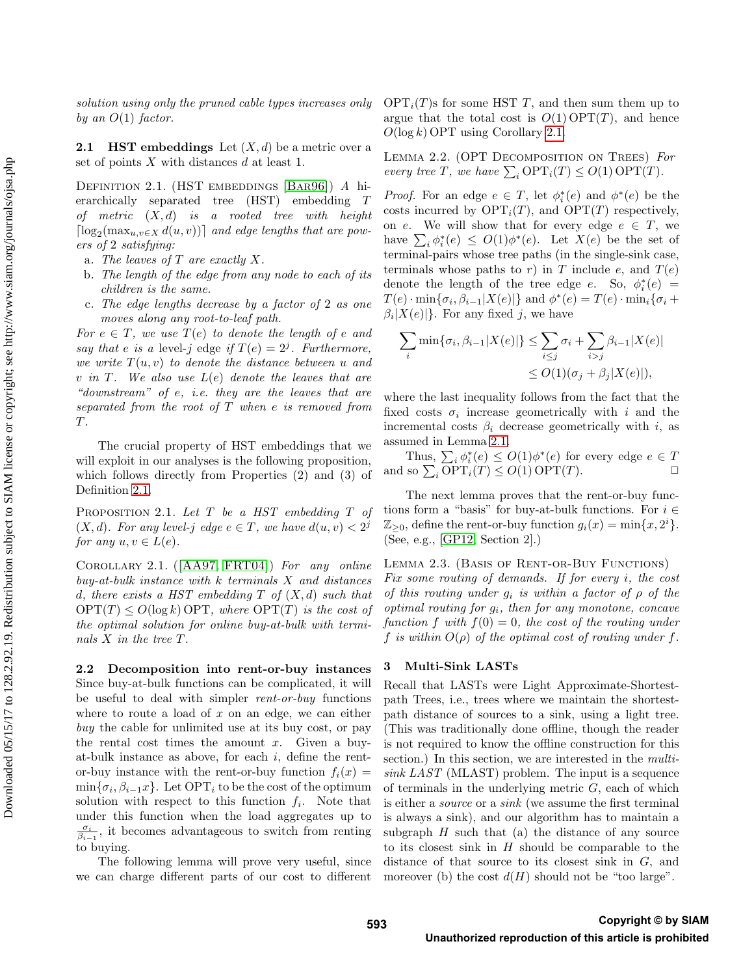solution using only the pruned cable types increases only by an  $O(1)$  factor.

**2.1 HST embeddings** Let  $(X, d)$  be a metric over a set of points  $X$  with distances  $d$  at least 1.

<span id="page-4-1"></span>DEFINITION 2.1. (HST EMBEDDINGS [BAR96]) A hierarchically separated tree (HST) embedding T of metric  $(X, d)$  is a rooted tree with height  $\lceil \log_2(\max_{u,v \in X} d(u,v)) \rceil$  and edge lengths that are powers of 2 satisfying:

- a. The leaves of  $T$  are exactly  $X$ .
- b. The length of the edge from any node to each of its children is the same.
- c. The edge lengths decrease by a factor of 2 as one moves along any root-to-leaf path.

For  $e \in T$ , we use  $T(e)$  to denote the length of e and say that e is a level-j edge if  $T(e) = 2<sup>j</sup>$ . Furthermore, we write  $T(u, v)$  to denote the distance between u and v in T. We also use  $L(e)$  denote the leaves that are "downstream" of e, i.e. they are the leaves that are separated from the root of  $T$  when  $e$  is removed from T.

The crucial property of HST embeddings that we will exploit in our analyses is the following proposition, which follows directly from Properties (2) and (3) of Definition [2.1.](#page-4-1)

PROPOSITION 2.1. Let T be a HST embedding T of  $(X, d)$ . For any level-j edge  $e \in T$ , we have  $d(u, v) < 2<sup>j</sup>$ for any  $u, v \in L(e)$ .

<span id="page-4-2"></span>Corollary 2.1. ([\[AA97,](#page-9-0) [FRT04\]](#page-9-3)) For any online buy-at-bulk instance with k terminals X and distances d, there exists a HST embedding  $T$  of  $(X, d)$  such that  $OPT(T) \leq O(\log k)$  OPT, where  $OPT(T)$  is the cost of the optimal solution for online buy-at-bulk with terminals X in the tree T.

<span id="page-4-3"></span>2.2 Decomposition into rent-or-buy instances Since buy-at-bulk functions can be complicated, it will be useful to deal with simpler *rent-or-buy* functions where to route a load of  $x$  on an edge, we can either buy the cable for unlimited use at its buy cost, or pay the rental cost times the amount  $x$ . Given a buyat-bulk instance as above, for each  $i$ , define the rentor-buy instance with the rent-or-buy function  $f_i(x) =$  $\min\{\sigma_i, \beta_{i-1}x\}$ . Let  $\text{OPT}_i$  to be the cost of the optimum solution with respect to this function  $f_i$ . Note that under this function when the load aggregates up to  $\frac{\sigma_i}{\beta_{i-1}}$ , it becomes advantageous to switch from renting to buying.

The following lemma will prove very useful, since we can charge different parts of our cost to different  $\text{OPT}_i(T)$ s for some HST T, and then sum them up to argue that the total cost is  $O(1) \text{OPT}(T)$ , and hence  $O(\log k)$  OPT using Corollary [2.1.](#page-4-2)

<span id="page-4-4"></span>LEMMA 2.2. (OPT DECOMPOSITION ON TREES) For every tree T, we have  $\sum_i \text{OPT}_i(T) \leq O(1) \text{OPT}(T)$ .

*Proof.* For an edge  $e \in T$ , let  $\phi_i^*(e)$  and  $\phi^*(e)$  be the costs incurred by  $\text{OPT}_i(T)$ , and  $\text{OPT}(T)$  respectively, on e. We will show that for every edge  $e \in T$ , we have  $\sum_i \phi_i^*(e) \leq O(1)\phi^*(e)$ . Let  $X(e)$  be the set of terminal-pairs whose tree paths (in the single-sink case, terminals whose paths to r) in T include e, and  $T(e)$ denote the length of the tree edge e. So,  $\phi_i^*(e)$  =  $T(e) \cdot \min\{\sigma_i, \beta_{i-1}|X(e)|\}$  and  $\phi^*(e) = T(e) \cdot \min_i\{\sigma_i +$  $\beta_i|X(e)|\}$ . For any fixed j, we have

$$
\sum_{i} \min \{ \sigma_i, \beta_{i-1} |X(e)| \} \leq \sum_{i \leq j} \sigma_i + \sum_{i > j} \beta_{i-1} |X(e)|
$$
  

$$
\leq O(1)(\sigma_j + \beta_j |X(e)|),
$$

where the last inequality follows from the fact that the fixed costs  $\sigma_i$  increase geometrically with i and the incremental costs  $\beta_i$  decrease geometrically with i, as assumed in Lemma [2.1.](#page-3-0)

Thus,  $\sum_i \phi_i^*(e) \leq O(1)\phi^*(e)$  for every edge  $e \in T$ and so  $\sum_i \text{OPT}_i(T) \leq O(1) \text{OPT}(T)$ .

The next lemma proves that the rent-or-buy functions form a "basis" for buy-at-bulk functions. For  $i \in$  $\mathbb{Z}_{\geq 0}$ , define the rent-or-buy function  $g_i(x) = \min\{x, 2^i\}.$ (See, e.g., [\[GP12,](#page-9-2) Section 2].)

Lemma 2.3. (Basis of Rent-or-Buy Functions)

Fix some routing of demands. If for every i, the cost of this routing under  $g_i$  is within a factor of  $\rho$  of the optimal routing for  $g_i$ , then for any monotone, concave function f with  $f(0) = 0$ , the cost of the routing under f is within  $O(\rho)$  of the optimal cost of routing under f.

### <span id="page-4-0"></span>3 Multi-Sink LASTs

Recall that LASTs were Light Approximate-Shortestpath Trees, i.e., trees where we maintain the shortestpath distance of sources to a sink, using a light tree. (This was traditionally done offline, though the reader is not required to know the offline construction for this section.) In this section, we are interested in the *multi*sink LAST (MLAST) problem. The input is a sequence of terminals in the underlying metric  $G$ , each of which is either a source or a sink (we assume the first terminal is always a sink), and our algorithm has to maintain a subgraph  $H$  such that (a) the distance of any source to its closest sink in  $H$  should be comparable to the distance of that source to its closest sink in G, and moreover (b) the cost  $d(H)$  should not be "too large".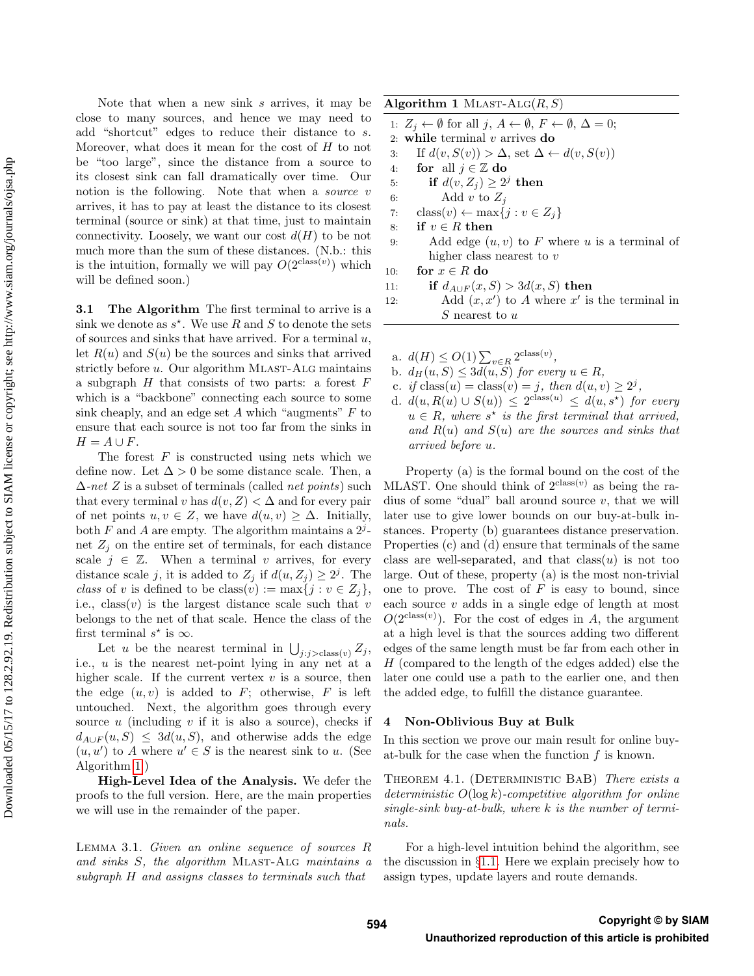Note that when a new sink s arrives, it may be close to many sources, and hence we may need to add "shortcut" edges to reduce their distance to s. Moreover, what does it mean for the cost of  $H$  to not be "too large", since the distance from a source to its closest sink can fall dramatically over time. Our notion is the following. Note that when a *source* v arrives, it has to pay at least the distance to its closest terminal (source or sink) at that time, just to maintain connectivity. Loosely, we want our cost  $d(H)$  to be not much more than the sum of these distances. (N.b.: this is the intuition, formally we will pay  $O(2^{\text{class}(v)})$  which will be defined soon.)

**3.1 The Algorithm** The first terminal to arrive is a sink we denote as  $s^*$ . We use R and S to denote the sets of sources and sinks that have arrived. For a terminal  $u$ , let  $R(u)$  and  $S(u)$  be the sources and sinks that arrived strictly before  $u$ . Our algorithm MLAST-ALG maintains a subgraph  $H$  that consists of two parts: a forest  $F$ which is a "backbone" connecting each source to some sink cheaply, and an edge set  $A$  which "augments"  $F$  to ensure that each source is not too far from the sinks in  $H = A \cup F$ .

The forest  $F$  is constructed using nets which we define now. Let  $\Delta > 0$  be some distance scale. Then, a  $\Delta$ -net Z is a subset of terminals (called *net points*) such that every terminal v has  $d(v, Z) < \Delta$  and for every pair of net points  $u, v \in Z$ , we have  $d(u, v) \geq \Delta$ . Initially, both  $F$  and  $A$  are empty. The algorithm maintains a  $2^j$ net  $Z_i$  on the entire set of terminals, for each distance scale  $j \in \mathbb{Z}$ . When a terminal v arrives, for every distance scale j, it is added to  $Z_j$  if  $d(u, Z_j) \geq 2^j$ . The class of v is defined to be class(v) := max{j :  $v \in Z_j$ }, i.e.,  $\text{class}(v)$  is the largest distance scale such that v belongs to the net of that scale. Hence the class of the first terminal  $s^*$  is  $\infty$ .

Let u be the nearest terminal in  $\bigcup_{j:j>class(v)} Z_j$ , i.e., u is the nearest net-point lying in any net at a higher scale. If the current vertex  $v$  is a source, then the edge  $(u, v)$  is added to F; otherwise, F is left untouched. Next, the algorithm goes through every source u (including v if it is also a source), checks if  $d_{A\cup F}(u, S) \leq 3d(u, S)$ , and otherwise adds the edge  $(u, u')$  to A where  $u' \in S$  is the nearest sink to u. (See Algorithm [1.](#page-5-1))

High-Level Idea of the Analysis. We defer the proofs to the full version. Here, are the main properties we will use in the remainder of the paper.

<span id="page-5-2"></span>Lemma 3.1. Given an online sequence of sources R and sinks S, the algorithm MLAST-ALG maintains a subgraph H and assigns classes to terminals such that

<span id="page-5-1"></span>Algorithm 1 MLAST-ALG $(R, S)$ 

- 1:  $Z_i \leftarrow \emptyset$  for all  $j, A \leftarrow \emptyset, F \leftarrow \emptyset, \Delta = 0;$
- 2: while terminal  $v$  arrives do
- 3: If  $d(v, S(v)) > \Delta$ , set  $\Delta \leftarrow d(v, S(v))$
- 4: for all  $j \in \mathbb{Z}$  do
- 5: if  $d(v, Z_j) \geq 2^j$  then
- 6: Add v to  $Z_i$
- 7: class $(v) \leftarrow \max\{j : v \in Z_j\}$
- 8: if  $v \in R$  then
- 9: Add edge  $(u, v)$  to F where u is a terminal of higher class nearest to  $v$

```
10: for x \in R do
```
- 11: if  $d_{A\cup F}(x, S) > 3d(x, S)$  then
- 12: Add  $(x, x')$  to A where x' is the terminal in  $S$  nearest to  $u$
- a.  $d(H) \leq O(1) \sum_{v \in R} 2^{\text{class}(v)},$
- b.  $d_H(u, S) \leq 3d(u, S)$  for every  $u \in R$ ,
- c. if class(u) = class(v) = j, then  $d(u, v) \geq 2^j$ ,
- d.  $d(u, R(u) \cup S(u)) \leq 2^{\text{class}(u)} \leq d(u, s^{\star})$  for every  $u \in R$ , where  $s^*$  is the first terminal that arrived, and  $R(u)$  and  $S(u)$  are the sources and sinks that arrived before u.

Property (a) is the formal bound on the cost of the MLAST. One should think of  $2^{class(v)}$  as being the radius of some "dual" ball around source  $v$ , that we will later use to give lower bounds on our buy-at-bulk instances. Property (b) guarantees distance preservation. Properties (c) and (d) ensure that terminals of the same class are well-separated, and that  $class(u)$  is not too large. Out of these, property (a) is the most non-trivial one to prove. The cost of  $F$  is easy to bound, since each source  $v$  adds in a single edge of length at most  $O(2^{\text{class}(v)})$ . For the cost of edges in A, the argument at a high level is that the sources adding two different edges of the same length must be far from each other in H (compared to the length of the edges added) else the later one could use a path to the earlier one, and then the added edge, to fulfill the distance guarantee.

#### <span id="page-5-0"></span>4 Non-Oblivious Buy at Bulk

In this section we prove our main result for online buyat-bulk for the case when the function  $f$  is known.

THEOREM 4.1. (DETERMINISTIC BAB) There exists a deterministic  $O(\log k)$ -competitive algorithm for online single-sink buy-at-bulk, where  $k$  is the number of terminals.

For a high-level intuition behind the algorithm, see the discussion in §[1.1.](#page-2-0) Here we explain precisely how to assign types, update layers and route demands.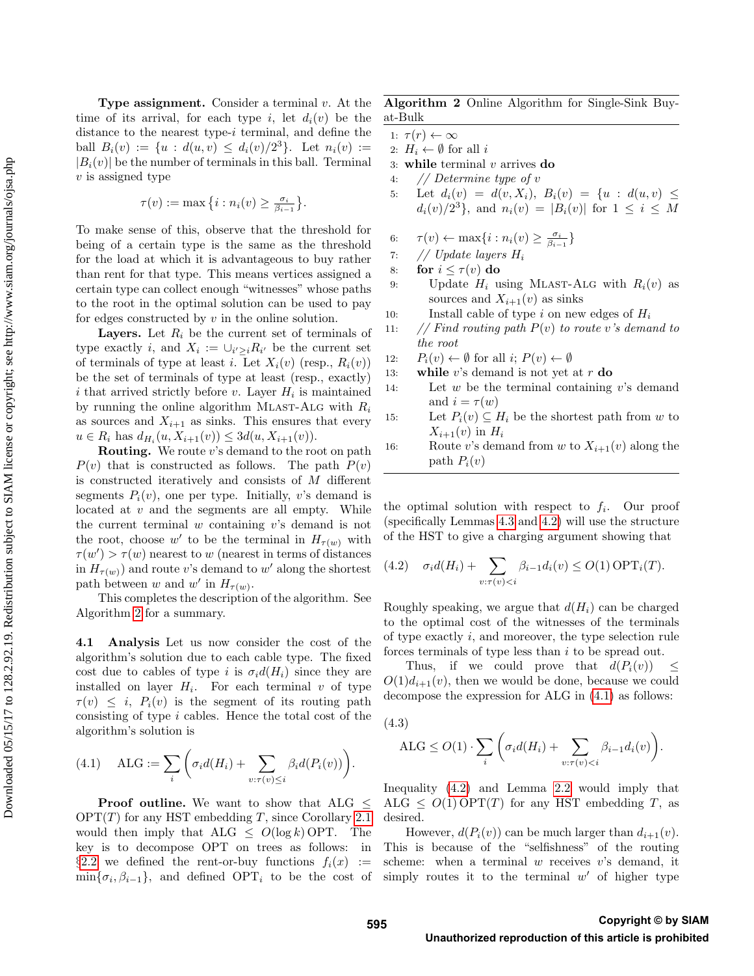**Type assignment.** Consider a terminal  $v$ . At the time of its arrival, for each type i, let  $d_i(v)$  be the distance to the nearest type-i terminal, and define the ball  $B_i(v) := \{u : d(u,v) \leq d_i(v)/2^3\}$ . Let  $n_i(v) :=$  $|B_i(v)|$  be the number of terminals in this ball. Terminal  $v$  is assigned type

$$
\tau(v) := \max\left\{i : n_i(v) \ge \frac{\sigma_i}{\beta_{i-1}}\right\}.
$$

To make sense of this, observe that the threshold for being of a certain type is the same as the threshold for the load at which it is advantageous to buy rather than rent for that type. This means vertices assigned a certain type can collect enough "witnesses" whose paths to the root in the optimal solution can be used to pay for edges constructed by  $v$  in the online solution.

**Layers.** Let  $R_i$  be the current set of terminals of type exactly *i*, and  $X_i := \bigcup_{i' \geq i} R_{i'}$  be the current set of terminals of type at least *i*. Let  $X_i(v)$  (resp.,  $R_i(v)$ ) be the set of terminals of type at least (resp., exactly) i that arrived strictly before  $v$ . Layer  $H_i$  is maintained by running the online algorithm MLAST-ALG with  $R_i$ as sources and  $X_{i+1}$  as sinks. This ensures that every  $u \in R_i$  has  $d_{H_i}(u, X_{i+1}(v)) \leq 3d(u, X_{i+1}(v)).$ 

**Routing.** We route  $v$ 's demand to the root on path  $P(v)$  that is constructed as follows. The path  $P(v)$ is constructed iteratively and consists of M different segments  $P_i(v)$ , one per type. Initially, v's demand is located at  $v$  and the segments are all empty. While the current terminal  $w$  containing  $v$ 's demand is not the root, choose w' to be the terminal in  $H_{\tau(w)}$  with  $\tau(w') > \tau(w)$  nearest to w (nearest in terms of distances in  $H_{\tau(w)}$  and route v's demand to w' along the shortest path between w and w' in  $H_{\tau(w)}$ .

This completes the description of the algorithm. See Algorithm [2](#page-6-0) for a summary.

4.1 Analysis Let us now consider the cost of the algorithm's solution due to each cable type. The fixed cost due to cables of type i is  $\sigma_i d(H_i)$  since they are installed on layer  $H_i$ . For each terminal v of type  $\tau(v) \leq i$ ,  $P_i(v)$  is the segment of its routing path consisting of type i cables. Hence the total cost of the algorithm's solution is

<span id="page-6-1"></span>(4.1) 
$$
\text{ALG} := \sum_{i} \left( \sigma_i d(H_i) + \sum_{v: \tau(v) \leq i} \beta_i d(P_i(v)) \right).
$$

Proof outline. We want to show that ALG  $\leq$  $OPT(T)$  for any HST embedding T, since Corollary [2.1](#page-4-2) would then imply that  $ALG \n\leq O(\log k)$  OPT. The key is to decompose OPT on trees as follows: in §[2.2](#page-4-3) we defined the rent-or-buy functions  $f_i(x) :=$  $\min\{\sigma_i, \beta_{i-1}\}\$ , and defined OPT<sub>i</sub> to be the cost of

<span id="page-6-0"></span>Algorithm 2 Online Algorithm for Single-Sink Buyat-Bulk

- 1:  $\tau(r) \leftarrow \infty$
- 2:  $H_i \leftarrow \emptyset$  for all i
- 3: while terminal  $v$  arrives do
- 4: // Determine type of v
- 5: Let  $d_i(v) = d(v, X_i)$ ,  $B_i(v) = \{u : d(u, v) \leq$  $d_i(v)/2^3$ , and  $n_i(v) = |B_i(v)|$  for  $1 \le i \le M$
- 6:  $\tau(v) \leftarrow \max\{i : n_i(v) \geq \frac{\sigma_i}{\beta_{i-1}}\}$
- 7: // Update layers  $H_i$
- 8: for  $i \leq \tau(v)$  do
- 9: Update  $H_i$  using MLAST-ALG with  $R_i(v)$  as sources and  $X_{i+1}(v)$  as sinks
- 10: Install cable of type i on new edges of  $H_i$
- 11: // Find routing path  $P(v)$  to route v's demand to the root
- 12:  $P_i(v) \leftarrow \emptyset$  for all  $i: P(v) \leftarrow \emptyset$
- 13: while v's demand is not yet at  $r$  do
- 14: Let  $w$  be the terminal containing  $v$ 's demand and  $i = \tau(w)$
- 15: Let  $P_i(v) \subseteq H_i$  be the shortest path from w to  $X_{i+1}(v)$  in  $H_i$
- 16: Route v's demand from w to  $X_{i+1}(v)$  along the path  $P_i(v)$

the optimal solution with respect to  $f_i$ . Our proof (specifically Lemmas [4.3](#page-8-0) and [4.2\)](#page-7-0) will use the structure of the HST to give a charging argument showing that

<span id="page-6-2"></span>(4.2) 
$$
\sigma_i d(H_i) + \sum_{v:\tau(v) < i} \beta_{i-1} d_i(v) \leq O(1) \text{OPT}_i(T).
$$

Roughly speaking, we argue that  $d(H_i)$  can be charged to the optimal cost of the witnesses of the terminals of type exactly i, and moreover, the type selection rule forces terminals of type less than  $i$  to be spread out.

Thus, if we could prove that  $d(P_i(v)) <$  $O(1)d_{i+1}(v)$ , then we would be done, because we could decompose the expression for ALG in [\(4.1\)](#page-6-1) as follows:

<span id="page-6-3"></span>
$$
(4.3)
$$

$$
ALG \le O(1) \cdot \sum_{i} \left( \sigma_i d(H_i) + \sum_{v: \tau(v) < i} \beta_{i-1} d_i(v) \right).
$$

Inequality [\(4.2\)](#page-6-2) and Lemma [2.2](#page-4-4) would imply that ALG  $\leq O(1)$  OPT $(T)$  for any HST embedding T, as desired.

However,  $d(P_i(v))$  can be much larger than  $d_{i+1}(v)$ . This is because of the "selfishness" of the routing scheme: when a terminal  $w$  receives  $v$ 's demand, it simply routes it to the terminal  $w'$  of higher type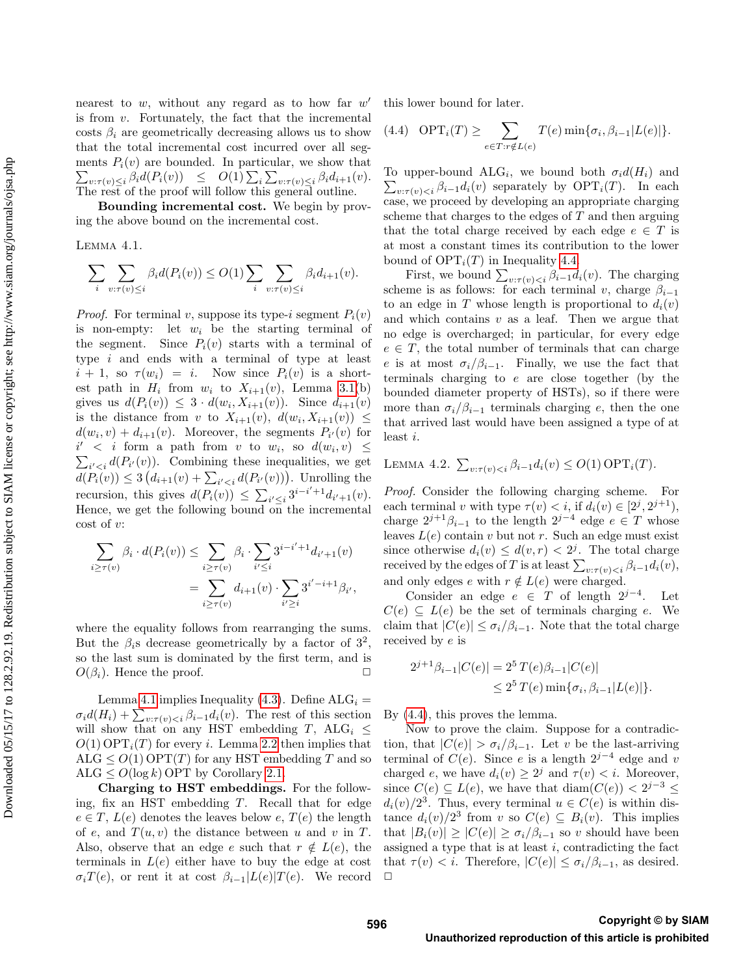nearest to  $w$ , without any regard as to how far  $w'$ is from  $v$ . Fortunately, the fact that the incremental costs  $\beta_i$  are geometrically decreasing allows us to show that the total incremental cost incurred over all segments  $P_i(v)$  are bounded. In particular, we show that  $\sum_{v:\tau(v)\leq i} \beta_i d(P_i(v)) \leq O(1) \sum_i \sum_{v:\tau(v)\leq i} \beta_i d_{i+1}(v).$ The rest of the proof will follow this general outline.

Bounding incremental cost. We begin by proving the above bound on the incremental cost.

Lemma 4.1.

$$
\sum_{i} \sum_{v: \tau(v) \leq i} \beta_i d(P_i(v)) \leq O(1) \sum_{i} \sum_{v: \tau(v) \leq i} \beta_i d_{i+1}(v).
$$

*Proof.* For terminal v, suppose its type-i segment  $P_i(v)$ is non-empty: let  $w_i$  be the starting terminal of the segment. Since  $P_i(v)$  starts with a terminal of type  $i$  and ends with a terminal of type at least  $i + 1$ , so  $\tau(w_i) = i$ . Now since  $P_i(v)$  is a shortest path in  $H_i$  from  $w_i$  to  $X_{i+1}(v)$ , Lemma [3.1\(](#page-5-2)b) gives us  $d(P_i(v)) \leq 3 \cdot d(w_i, X_{i+1}(v))$ . Since  $d_{i+1}(v)$ is the distance from v to  $X_{i+1}(v)$ ,  $d(w_i, X_{i+1}(v)) \leq$  $d(w_i, v) + d_{i+1}(v)$ . Moreover, the segments  $P_{i'}(v)$  for  $i'$  < i form a path from v to  $w_i$ , so  $d(w_i, v) \leq$  $\sum_{i' < i} d(P_{i'}(v))$ . Combining these inequalities, we get  $d(P_i(v)) \leq 3 (d_{i+1}(v) + \sum_{i' < i} d(P_{i'}(v)))$ . Unrolling the recursion, this gives  $d(P_i(v)) \leq \sum_{i' \leq i} 3^{i-i'+1} d_{i'+1}(v)$ . Hence, we get the following bound on the incremental  $\cot$  of  $v$ :

$$
\sum_{i \ge \tau(v)} \beta_i \cdot d(P_i(v)) \le \sum_{i \ge \tau(v)} \beta_i \cdot \sum_{i' \le i} 3^{i-i'+1} d_{i'+1}(v) \n= \sum_{i \ge \tau(v)} d_{i+1}(v) \cdot \sum_{i' \ge i} 3^{i'-i+1} \beta_{i'},
$$

where the equality follows from rearranging the sums. But the  $\beta_i$ s decrease geometrically by a factor of  $3^2$ , so the last sum is dominated by the first term, and is  $O(\beta_i)$ . Hence the proof.  $\Box$ 

Lemma [4.1](#page-7-1) implies Inequality [\(4.3\)](#page-6-3). Define  $ALG_i$  =  $\sigma_i d(H_i) + \sum_{v: \tau(v) < i} \beta_{i-1} d_i(v)$ . The rest of this section will show that on any HST embedding T, ALG<sub>i</sub>  $\leq$  $O(1)$  OPT<sub>i</sub>(T) for every i. Lemma [2.2](#page-4-4) then implies that ALG  $\leq O(1)$  OPT $(T)$  for any HST embedding T and so ALG  $\leq O(\log k)$  OPT by Corollary [2.1.](#page-4-2)

Charging to HST embeddings. For the following, fix an HST embedding T. Recall that for edge  $e \in T$ ,  $L(e)$  denotes the leaves below  $e$ ,  $T(e)$  the length of e, and  $T(u, v)$  the distance between u and v in T. Also, observe that an edge e such that  $r \notin L(e)$ , the terminals in  $L(e)$  either have to buy the edge at cost  $\sigma_i T(e)$ , or rent it at cost  $\beta_{i-1}|L(e)|T(e)$ . We record this lower bound for later.

<span id="page-7-2"></span>(4.4) 
$$
\text{OPT}_i(T) \ge \sum_{e \in T: r \notin L(e)} T(e) \min\{\sigma_i, \beta_{i-1} | L(e)|\}.
$$

<span id="page-7-1"></span>To upper-bound ALG<sub>i</sub>, we bound both  $\sigma_i d(H_i)$  and  $\sum_{v:\tau(v)< i}\beta_{i-1}d_i(v)$  separately by  $\mathrm{OPT}_i(T)$ . In each case, we proceed by developing an appropriate charging scheme that charges to the edges of  $T$  and then arguing that the total charge received by each edge  $e \in T$  is at most a constant times its contribution to the lower bound of  $\text{OPT}_i(T)$  in Inequality [4.4.](#page-7-2)

First, we bound  $\sum_{v:\tau(v). The charging$ scheme is as follows: for each terminal v, charge  $\beta_{i-1}$ to an edge in T whose length is proportional to  $d_i(v)$ and which contains  $v$  as a leaf. Then we argue that no edge is overcharged; in particular, for every edge  $e \in T$ , the total number of terminals that can charge e is at most  $\sigma_i/\beta_{i-1}$ . Finally, we use the fact that terminals charging to e are close together (by the bounded diameter property of HSTs), so if there were more than  $\sigma_i/\beta_{i-1}$  terminals charging e, then the one that arrived last would have been assigned a type of at least i.

<span id="page-7-0"></span>LEMMA 4.2. 
$$
\sum_{v:\tau(v) < i} \beta_{i-1} d_i(v) \leq O(1) \text{OPT}_i(T)
$$
.

Proof. Consider the following charging scheme. For each terminal v with type  $\tau(v) < i$ , if  $d_i(v) \in [2^j, 2^{j+1}),$ charge  $2^{j+1}\beta_{i-1}$  to the length  $2^{j-4}$  edge  $e \in T$  whose leaves  $L(e)$  contain v but not r. Such an edge must exist since otherwise  $d_i(v) \leq d(v, r) < 2^j$ . The total charge received by the edges of T is at least  $\sum_{v:\tau(v) < i} \beta_{i-1} d_i(v)$ , and only edges e with  $r \notin L(e)$  were charged.

Consider an edge  $e \in T$  of length  $2^{j-4}$ . . Let  $C(e) \subseteq L(e)$  be the set of terminals charging e. We claim that  $|C(e)| \leq \sigma_i/\beta_{i-1}$ . Note that the total charge received by e is

$$
2^{j+1}\beta_{i-1}|C(e)| = 2^5 T(e)\beta_{i-1}|C(e)|
$$
  

$$
\leq 2^5 T(e) \min{\{\sigma_i, \beta_{i-1}|L(e)|\}}.
$$

By [\(4.4\)](#page-7-2), this proves the lemma.

Now to prove the claim. Suppose for a contradiction, that  $|C(e)| > \sigma_i/\beta_{i-1}$ . Let v be the last-arriving terminal of  $C(e)$ . Since e is a length  $2^{j-4}$  edge and v charged e, we have  $d_i(v) \geq 2^j$  and  $\tau(v) < i$ . Moreover, since  $C(e) \subseteq L(e)$ , we have that  $\text{diam}(C(e)) < 2^{j-3} \leq$  $d_i(v)/2^3$ . Thus, every terminal  $u \in C(e)$  is within distance  $d_i(v)/2^3$  from v so  $C(e) \subseteq B_i(v)$ . This implies that  $|B_i(v)| \geq |C(e)| \geq \sigma_i/\beta_{i-1}$  so v should have been assigned a type that is at least  $i$ , contradicting the fact that  $\tau(v) < i$ . Therefore,  $|C(e)| \leq \sigma_i/\beta_{i-1}$ , as desired.  $\Box$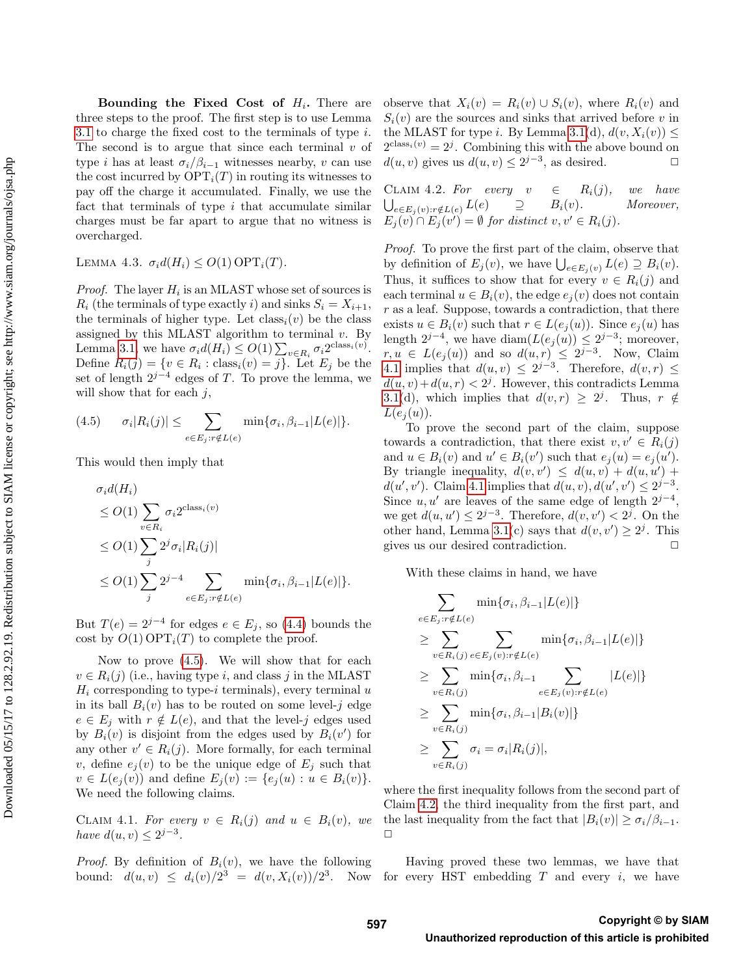Bounding the Fixed Cost of  $H_i$ . There are three steps to the proof. The first step is to use Lemma [3.1](#page-5-2) to charge the fixed cost to the terminals of type  $i$ . The second is to argue that since each terminal  $v$  of type *i* has at least  $\sigma_i/\beta_{i-1}$  witnesses nearby, *v* can use the cost incurred by  $\text{OPT}_i(T)$  in routing its witnesses to pay off the charge it accumulated. Finally, we use the fact that terminals of type  $i$  that accumulate similar charges must be far apart to argue that no witness is overcharged.

<span id="page-8-0"></span>LEMMA 4.3.  $\sigma_i d(H_i) \leq O(1) \text{OPT}_i(T)$ .

*Proof.* The layer  $H_i$  is an MLAST whose set of sources is  $R_i$  (the terminals of type exactly i) and sinks  $S_i = X_{i+1}$ , the terminals of higher type. Let  $\text{class}_i(v)$  be the class assigned by this MLAST algorithm to terminal  $v$ . By Lemma [3.1,](#page-5-2) we have  $\sigma_i d(H_i) \leq O(1) \sum_{v \in R_i} \sigma_i 2^{\text{class}_i(v)}$ . Define  $R_i(j) = \{v \in R_i : \text{class}_i(v) = j\}$ . Let  $E_j$  be the set of length  $2^{j-4}$  edges of T. To prove the lemma, we will show that for each  $j$ ,

<span id="page-8-1"></span>
$$
(4.5) \qquad \sigma_i |R_i(j)| \leq \sum_{e \in E_j: r \notin L(e)} \min\{\sigma_i, \beta_{i-1}|L(e)|\}.
$$

This would then imply that

$$
\sigma_i d(H_i)
$$
  
\n
$$
\leq O(1) \sum_{v \in R_i} \sigma_i 2^{\text{class}_i(v)}
$$
  
\n
$$
\leq O(1) \sum_j 2^j \sigma_i |R_i(j)|
$$
  
\n
$$
\leq O(1) \sum_j 2^{j-4} \sum_{e \in E_j : r \notin L(e)} \min{\{\sigma_i, \beta_{i-1} | L(e)|\}}.
$$

But  $T(e) = 2^{j-4}$  for edges  $e \in E_j$ , so [\(4.4\)](#page-7-2) bounds the cost by  $O(1)$  OPT<sub>i</sub> $(T)$  to complete the proof.

Now to prove [\(4.5\)](#page-8-1). We will show that for each  $v \in R_i(j)$  (i.e., having type i, and class j in the MLAST  $H_i$  corresponding to type-i terminals), every terminal u in its ball  $B_i(v)$  has to be routed on some level-j edge  $e \in E_i$  with  $r \notin L(e)$ , and that the level-j edges used by  $B_i(v)$  is disjoint from the edges used by  $B_i(v')$  for any other  $v' \in R_i(j)$ . More formally, for each terminal v, define  $e_j(v)$  to be the unique edge of  $E_j$  such that  $v \in L(e_j(v))$  and define  $E_j(v) := \{e_j(u) : u \in B_i(v)\}.$ We need the following claims.

<span id="page-8-2"></span>CLAIM 4.1. For every  $v \in R_i(j)$  and  $u \in B_i(v)$ , we have  $d(u, v) \leq 2^{j-3}$ .

*Proof.* By definition of  $B_i(v)$ , we have the following bound:  $d(u, v) \leq d_i(v)/2^3 = d(v, X_i(v))/2^3$ . Now for every HST embedding T and every i, we have

observe that  $X_i(v) = R_i(v) \cup S_i(v)$ , where  $R_i(v)$  and  $S_i(v)$  are the sources and sinks that arrived before v in the MLAST for type i. By Lemma [3.1\(](#page-5-2)d),  $d(v, X_i(v))$  <  $2^{\text{class}_i(v)} = 2^j$ . Combining this with the above bound on  $d(u, v)$  gives us  $d(u, v) \leq 2^{j-3}$ , as desired.  $\Box$ 

<span id="page-8-3"></span>CLAIM 4.2. For every  $v \in R_i(j)$ , we have  $\bigcup_{e \in E_j(v): r \notin L(e)} L(e) \quad \supseteq \quad B_i(v).$  Moreover,  $E_j(v) \cap E_j(v') = \emptyset$  for distinct  $v, v' \in R_i(j)$ .

Proof. To prove the first part of the claim, observe that by definition of  $E_j(v)$ , we have  $\bigcup_{e \in E_j(v)} L(e) \supseteq B_i(v)$ . Thus, it suffices to show that for every  $v \in R_i(j)$  and each terminal  $u \in B_i(v)$ , the edge  $e_i(v)$  does not contain r as a leaf. Suppose, towards a contradiction, that there exists  $u \in B_i(v)$  such that  $r \in L(e_i(u))$ . Since  $e_i(u)$  has length  $2^{j-4}$ , we have  $\text{diam}(L(e_j(u)) \leq 2^{j-3})$ ; moreover,  $r, u \in L(e_j(u))$  and so  $d(u,r) \leq 2^{j-3}$ . Now, Claim [4.1](#page-8-2) implies that  $d(u, v) \leq 2^{j-3}$ . Therefore,  $d(v, r) \leq$  $d(u, v) + d(u, r) < 2<sup>j</sup>$ . However, this contradicts Lemma [3.1\(](#page-5-2)d), which implies that  $d(v, r) \geq 2^j$ . Thus,  $r \notin$  $L(e_i(u))$ .

To prove the second part of the claim, suppose towards a contradiction, that there exist  $v, v' \in R_i(j)$ and  $u \in B_i(v)$  and  $u' \in B_i(v')$  such that  $e_j(u) = e_j(u')$ . By triangle inequality,  $d(v, v') \leq d(u, v) + d(u, u') +$  $d(u', v')$ . Claim [4.1](#page-8-2) implies that  $d(u, v), d(u', v') \leq 2^{j-3}$ . Since  $u, u'$  are leaves of the same edge of length  $2^{j-4}$ , we get  $d(u, u') \leq 2^{j-3}$ . Therefore,  $d(v, v') < 2^j$ . On the other hand, Lemma [3.1\(](#page-5-2)c) says that  $d(v, v') \geq 2^{j}$ . This gives us our desired contradiction.  $\Box$ 

With these claims in hand, we have

$$
\sum_{e \in E_j : r \notin L(e)} \min\{\sigma_i, \beta_{i-1}|L(e)|\}
$$
\n
$$
\geq \sum_{v \in R_i(j)} \sum_{e \in E_j(v) : r \notin L(e)} \min\{\sigma_i, \beta_{i-1}|L(e)|\}
$$
\n
$$
\geq \sum_{v \in R_i(j)} \min\{\sigma_i, \beta_{i-1} \sum_{e \in E_j(v) : r \notin L(e)} |L(e)|\}
$$
\n
$$
\geq \sum_{v \in R_i(j)} \min\{\sigma_i, \beta_{i-1}|B_i(v)|\}
$$
\n
$$
\geq \sum_{v \in R_i(j)} \sigma_i = \sigma_i |R_i(j)|,
$$

where the first inequality follows from the second part of Claim [4.2,](#page-8-3) the third inequality from the first part, and the last inequality from the fact that  $|B_i(v)| \geq \sigma_i/\beta_{i-1}$ .  $\Box$ 

Having proved these two lemmas, we have that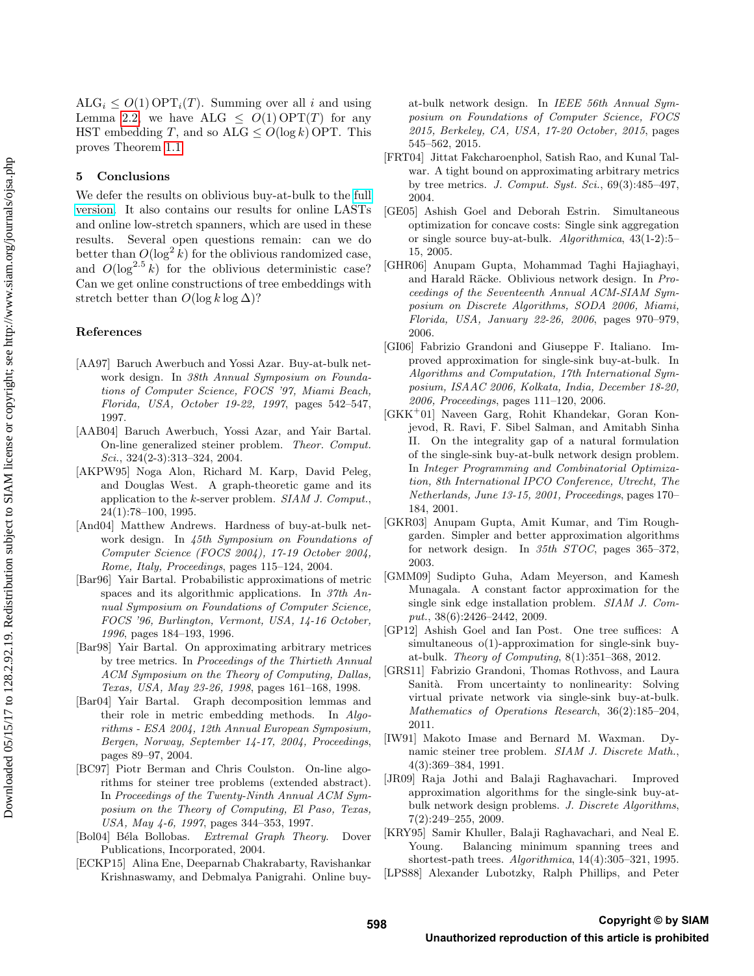$ALG_i \leq O(1) \text{OPT}_i(T)$ . Summing over all i and using Lemma [2.2,](#page-4-4) we have ALG  $\leq O(1)$  OPT(T) for any HST embedding T, and so  $ALG \le O(\log k)$  OPT. This proves Theorem [1.1.](#page-1-0)

## 5 Conclusions

We defer the results on oblivious buy-at-bulk to the [full](https://arxiv.org/abs/1611.00052) [version.](https://arxiv.org/abs/1611.00052) It also contains our results for online LASTs and online low-stretch spanners, which are used in these results. Several open questions remain: can we do better than  $O(\log^2 k)$  for the oblivious randomized case, and  $O(\log^{2.5} k)$  for the oblivious deterministic case? Can we get online constructions of tree embeddings with stretch better than  $O(\log k \log \Delta)$ ?

#### References

- <span id="page-9-0"></span>[AA97] Baruch Awerbuch and Yossi Azar. Buy-at-bulk network design. In 38th Annual Symposium on Foundations of Computer Science, FOCS '97, Miami Beach, Florida, USA, October 19-22, 1997, pages 542–547, 1997.
- <span id="page-9-9"></span>[AAB04] Baruch Awerbuch, Yossi Azar, and Yair Bartal. On-line generalized steiner problem. Theor. Comput. Sci., 324(2-3):313–324, 2004.
- <span id="page-9-10"></span>[AKPW95] Noga Alon, Richard M. Karp, David Peleg, and Douglas West. A graph-theoretic game and its application to the k-server problem. SIAM J. Comput., 24(1):78–100, 1995.
- <span id="page-9-13"></span>[And04] Matthew Andrews. Hardness of buy-at-bulk network design. In 45th Symposium on Foundations of Computer Science (FOCS 2004), 17-19 October 2004, Rome, Italy, Proceedings, pages 115–124, 2004.
- <span id="page-9-6"></span>[Bar96] Yair Bartal. Probabilistic approximations of metric spaces and its algorithmic applications. In 37th Annual Symposium on Foundations of Computer Science, FOCS '96, Burlington, Vermont, USA, 14-16 October, 1996, pages 184–193, 1996.
- <span id="page-9-11"></span>[Bar98] Yair Bartal. On approximating arbitrary metrices by tree metrics. In Proceedings of the Thirtieth Annual ACM Symposium on the Theory of Computing, Dallas, Texas, USA, May 23-26, 1998, pages 161–168, 1998.
- <span id="page-9-12"></span>[Bar04] Yair Bartal. Graph decomposition lemmas and their role in metric embedding methods. In Algorithms - ESA 2004, 12th Annual European Symposium, Bergen, Norway, September 14-17, 2004, Proceedings, pages 89–97, 2004.
- <span id="page-9-19"></span>[BC97] Piotr Berman and Chris Coulston. On-line algorithms for steiner tree problems (extended abstract). In Proceedings of the Twenty-Ninth Annual ACM Symposium on the Theory of Computing, El Paso, Texas, USA, May 4-6, 1997, pages 344–353, 1997.
- [Bol04] Béla Bollobas. Extremal Graph Theory. Dover Publications, Incorporated, 2004.
- <span id="page-9-20"></span>[ECKP15] Alina Ene, Deeparnab Chakrabarty, Ravishankar Krishnaswamy, and Debmalya Panigrahi. Online buy-

at-bulk network design. In IEEE 56th Annual Symposium on Foundations of Computer Science, FOCS 2015, Berkeley, CA, USA, 17-20 October, 2015, pages 545–562, 2015.

- <span id="page-9-3"></span>[FRT04] Jittat Fakcharoenphol, Satish Rao, and Kunal Talwar. A tight bound on approximating arbitrary metrics by tree metrics. J. Comput. Syst. Sci.,  $69(3):485-497$ , 2004.
- <span id="page-9-8"></span>[GE05] Ashish Goel and Deborah Estrin. Simultaneous optimization for concave costs: Single sink aggregation or single source buy-at-bulk. Algorithmica, 43(1-2):5– 15, 2005.
- <span id="page-9-7"></span>[GHR06] Anupam Gupta, Mohammad Taghi Hajiaghayi, and Harald Räcke. Oblivious network design. In Proceedings of the Seventeenth Annual ACM-SIAM Symposium on Discrete Algorithms, SODA 2006, Miami, Florida, USA, January 22-26, 2006, pages 970–979, 2006.
- <span id="page-9-16"></span>[GI06] Fabrizio Grandoni and Giuseppe F. Italiano. Improved approximation for single-sink buy-at-bulk. In Algorithms and Computation, 17th International Symposium, ISAAC 2006, Kolkata, India, December 18-20, 2006, Proceedings, pages 111–120, 2006.
- <span id="page-9-14"></span>[GKK<sup>+</sup>01] Naveen Garg, Rohit Khandekar, Goran Konjevod, R. Ravi, F. Sibel Salman, and Amitabh Sinha II. On the integrality gap of a natural formulation of the single-sink buy-at-bulk network design problem. In Integer Programming and Combinatorial Optimization, 8th International IPCO Conference, Utrecht, The Netherlands, June 13-15, 2001, Proceedings, pages 170– 184, 2001.
- <span id="page-9-15"></span>[GKR03] Anupam Gupta, Amit Kumar, and Tim Roughgarden. Simpler and better approximation algorithms for network design. In 35th STOC, pages 365–372, 2003.
- <span id="page-9-1"></span>[GMM09] Sudipto Guha, Adam Meyerson, and Kamesh Munagala. A constant factor approximation for the single sink edge installation problem. SIAM J. Comput., 38(6):2426–2442, 2009.
- <span id="page-9-2"></span>[GP12] Ashish Goel and Ian Post. One tree suffices: A simultaneous o(1)-approximation for single-sink buyat-bulk. Theory of Computing, 8(1):351–368, 2012.
- <span id="page-9-18"></span>[GRS11] Fabrizio Grandoni, Thomas Rothvoss, and Laura Sanità. From uncertainty to nonlinearity: Solving virtual private network via single-sink buy-at-bulk. Mathematics of Operations Research, 36(2):185–204, 2011.
- <span id="page-9-4"></span>[IW91] Makoto Imase and Bernard M. Waxman. Dynamic steiner tree problem. SIAM J. Discrete Math., 4(3):369–384, 1991.
- <span id="page-9-17"></span>[JR09] Raja Jothi and Balaji Raghavachari. Improved approximation algorithms for the single-sink buy-atbulk network design problems. J. Discrete Algorithms, 7(2):249–255, 2009.
- <span id="page-9-5"></span>[KRY95] Samir Khuller, Balaji Raghavachari, and Neal E. Young. Balancing minimum spanning trees and shortest-path trees. Algorithmica, 14(4):305–321, 1995.
- [LPS88] Alexander Lubotzky, Ralph Phillips, and Peter